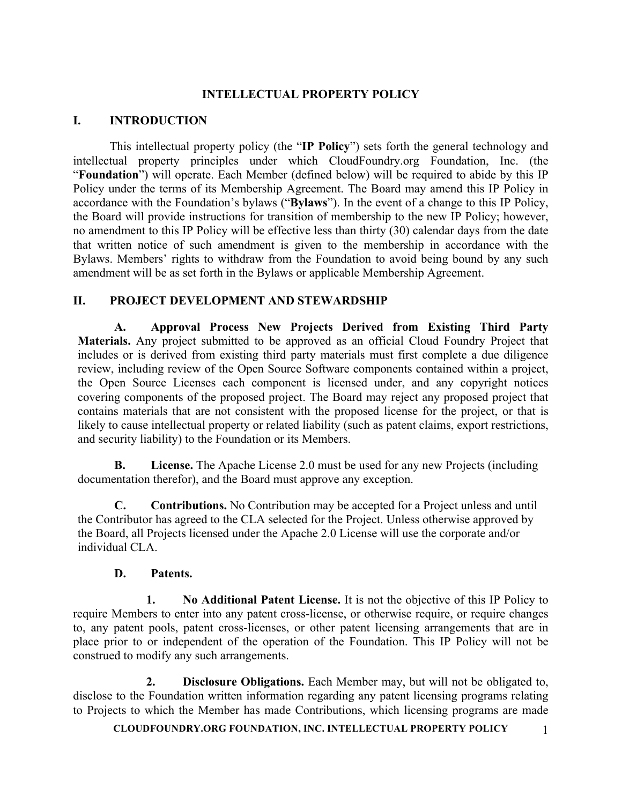## **INTELLECTUAL PROPERTY POLICY**

## **I. INTRODUCTION**

This intellectual property policy (the "**IP Policy**") sets forth the general technology and intellectual property principles under which CloudFoundry.org Foundation, Inc. (the "**Foundation**") will operate. Each Member (defined below) will be required to abide by this IP Policy under the terms of its Membership Agreement. The Board may amend this IP Policy in accordance with the Foundation's bylaws ("**Bylaws**"). In the event of a change to this IP Policy, the Board will provide instructions for transition of membership to the new IP Policy; however, no amendment to this IP Policy will be effective less than thirty (30) calendar days from the date that written notice of such amendment is given to the membership in accordance with the Bylaws. Members' rights to withdraw from the Foundation to avoid being bound by any such amendment will be as set forth in the Bylaws or applicable Membership Agreement.

# **II. PROJECT DEVELOPMENT AND STEWARDSHIP**

**A. Approval Process New Projects Derived from Existing Third Party Materials.** Any project submitted to be approved as an official Cloud Foundry Project that includes or is derived from existing third party materials must first complete a due diligence review, including review of the Open Source Software components contained within a project, the Open Source Licenses each component is licensed under, and any copyright notices covering components of the proposed project. The Board may reject any proposed project that contains materials that are not consistent with the proposed license for the project, or that is likely to cause intellectual property or related liability (such as patent claims, export restrictions, and security liability) to the Foundation or its Members.

**B. License.** The Apache License 2.0 must be used for any new Projects (including documentation therefor), and the Board must approve any exception.

**C. Contributions.** No Contribution may be accepted for a Project unless and until the Contributor has agreed to the CLA selected for the Project. Unless otherwise approved by the Board, all Projects licensed under the Apache 2.0 License will use the corporate and/or individual CLA.

## **D. Patents.**

**1. No Additional Patent License.** It is not the objective of this IP Policy to require Members to enter into any patent cross-license, or otherwise require, or require changes to, any patent pools, patent cross-licenses, or other patent licensing arrangements that are in place prior to or independent of the operation of the Foundation. This IP Policy will not be construed to modify any such arrangements.

**2. Disclosure Obligations.** Each Member may, but will not be obligated to, disclose to the Foundation written information regarding any patent licensing programs relating to Projects to which the Member has made Contributions, which licensing programs are made

**CLOUDFOUNDRY.ORG FOUNDATION, INC. INTELLECTUAL PROPERTY POLICY** 1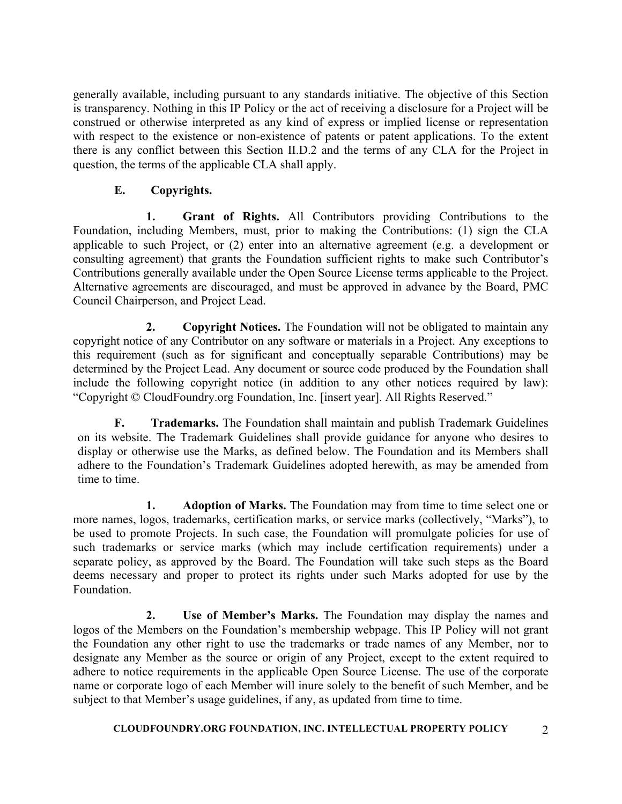generally available, including pursuant to any standards initiative. The objective of this Section is transparency. Nothing in this IP Policy or the act of receiving a disclosure for a Project will be construed or otherwise interpreted as any kind of express or implied license or representation with respect to the existence or non-existence of patents or patent applications. To the extent there is any conflict between this Section II.D.2 and the terms of any CLA for the Project in question, the terms of the applicable CLA shall apply.

# **E. Copyrights.**

**1. Grant of Rights.** All Contributors providing Contributions to the Foundation, including Members, must, prior to making the Contributions: (1) sign the CLA applicable to such Project, or (2) enter into an alternative agreement (e.g. a development or consulting agreement) that grants the Foundation sufficient rights to make such Contributor's Contributions generally available under the Open Source License terms applicable to the Project. Alternative agreements are discouraged, and must be approved in advance by the Board, PMC Council Chairperson, and Project Lead.

**2. Copyright Notices.** The Foundation will not be obligated to maintain any copyright notice of any Contributor on any software or materials in a Project. Any exceptions to this requirement (such as for significant and conceptually separable Contributions) may be determined by the Project Lead. Any document or source code produced by the Foundation shall include the following copyright notice (in addition to any other notices required by law): "Copyright © CloudFoundry.org Foundation, Inc. [insert year]. All Rights Reserved."

**F. Trademarks.** The Foundation shall maintain and publish Trademark Guidelines on its website. The Trademark Guidelines shall provide guidance for anyone who desires to display or otherwise use the Marks, as defined below. The Foundation and its Members shall adhere to the Foundation's Trademark Guidelines adopted herewith, as may be amended from time to time.

**1. Adoption of Marks.** The Foundation may from time to time select one or more names, logos, trademarks, certification marks, or service marks (collectively, "Marks"), to be used to promote Projects. In such case, the Foundation will promulgate policies for use of such trademarks or service marks (which may include certification requirements) under a separate policy, as approved by the Board. The Foundation will take such steps as the Board deems necessary and proper to protect its rights under such Marks adopted for use by the Foundation.

**2. Use of Member's Marks.** The Foundation may display the names and logos of the Members on the Foundation's membership webpage. This IP Policy will not grant the Foundation any other right to use the trademarks or trade names of any Member, nor to designate any Member as the source or origin of any Project, except to the extent required to adhere to notice requirements in the applicable Open Source License. The use of the corporate name or corporate logo of each Member will inure solely to the benefit of such Member, and be subject to that Member's usage guidelines, if any, as updated from time to time.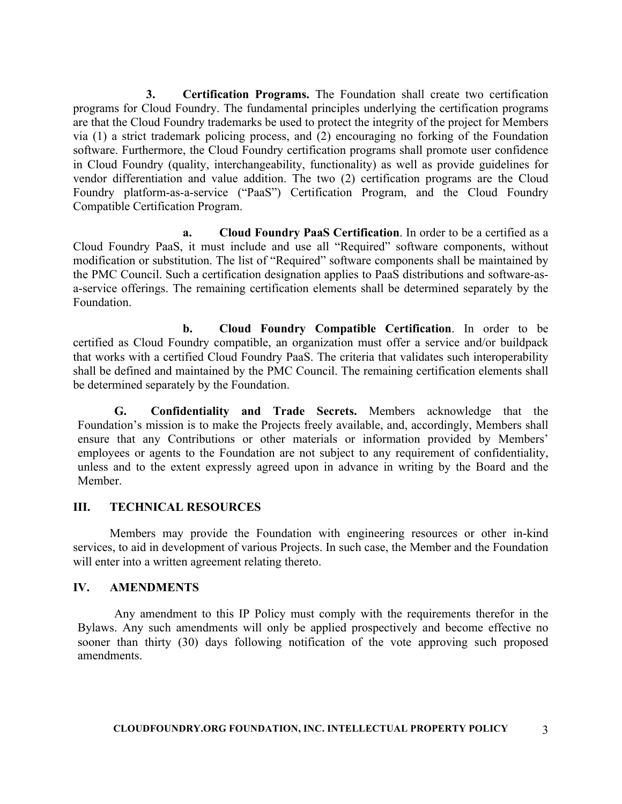**3. Certification Programs.** The Foundation shall create two certification programs for Cloud Foundry. The fundamental principles underlying the certification programs are that the Cloud Foundry trademarks be used to protect the integrity of the project for Members via (1) a strict trademark policing process, and (2) encouraging no forking of the Foundation software. Furthermore, the Cloud Foundry certification programs shall promote user confidence in Cloud Foundry (quality, interchangeability, functionality) as well as provide guidelines for vendor differentiation and value addition. The two (2) certification programs are the Cloud Foundry platform-as-a-service ("PaaS") Certification Program, and the Cloud Foundry Compatible Certification Program.

**a. Cloud Foundry PaaS Certification**. In order to be a certified as a Cloud Foundry PaaS, it must include and use all "Required" software components, without modification or substitution. The list of "Required" software components shall be maintained by the PMC Council. Such a certification designation applies to PaaS distributions and software-asa-service offerings. The remaining certification elements shall be determined separately by the Foundation.

**b. Cloud Foundry Compatible Certification**. In order to be certified as Cloud Foundry compatible, an organization must offer a service and/or buildpack that works with a certified Cloud Foundry PaaS. The criteria that validates such interoperability shall be defined and maintained by the PMC Council. The remaining certification elements shall be determined separately by the Foundation.

**G. Confidentiality and Trade Secrets.** Members acknowledge that the Foundation's mission is to make the Projects freely available, and, accordingly, Members shall ensure that any Contributions or other materials or information provided by Members' employees or agents to the Foundation are not subject to any requirement of confidentiality, unless and to the extent expressly agreed upon in advance in writing by the Board and the Member.

#### **III. TECHNICAL RESOURCES**

Members may provide the Foundation with engineering resources or other in-kind services, to aid in development of various Projects. In such case, the Member and the Foundation will enter into a written agreement relating thereto.

#### **IV. AMENDMENTS**

Any amendment to this IP Policy must comply with the requirements therefor in the Bylaws. Any such amendments will only be applied prospectively and become effective no sooner than thirty (30) days following notification of the vote approving such proposed amendments.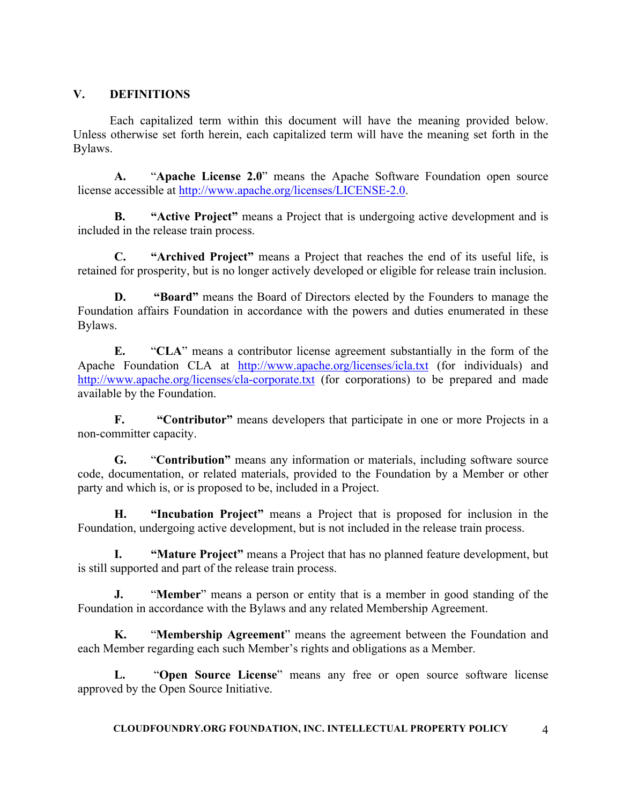## **V. DEFINITIONS**

Each capitalized term within this document will have the meaning provided below. Unless otherwise set forth herein, each capitalized term will have the meaning set forth in the Bylaws.

**A.** "**Apache License 2.0**" means the Apache Software Foundation open source license accessible at http://www.apache.org/licenses/LICENSE-2.0.

**B. "Active Project"** means a Project that is undergoing active development and is included in the release train process.

**C. "Archived Project"** means a Project that reaches the end of its useful life, is retained for prosperity, but is no longer actively developed or eligible for release train inclusion.

**D. "Board"** means the Board of Directors elected by the Founders to manage the Foundation affairs Foundation in accordance with the powers and duties enumerated in these Bylaws.

**E.** "**CLA**" means a contributor license agreement substantially in the form of the Apache Foundation CLA at http://www.apache.org/licenses/icla.txt (for individuals) and http://www.apache.org/licenses/cla-corporate.txt (for corporations) to be prepared and made available by the Foundation.

**F. "Contributor"** means developers that participate in one or more Projects in a non-committer capacity.

**G.** "**Contribution"** means any information or materials, including software source code, documentation, or related materials, provided to the Foundation by a Member or other party and which is, or is proposed to be, included in a Project.

**H. "Incubation Project"** means a Project that is proposed for inclusion in the Foundation, undergoing active development, but is not included in the release train process.

**"Mature Project"** means a Project that has no planned feature development, but is still supported and part of the release train process.

**J.** "**Member**" means a person or entity that is a member in good standing of the Foundation in accordance with the Bylaws and any related Membership Agreement.

**K.** "**Membership Agreement**" means the agreement between the Foundation and each Member regarding each such Member's rights and obligations as a Member.

**L.** "**Open Source License**" means any free or open source software license approved by the Open Source Initiative.